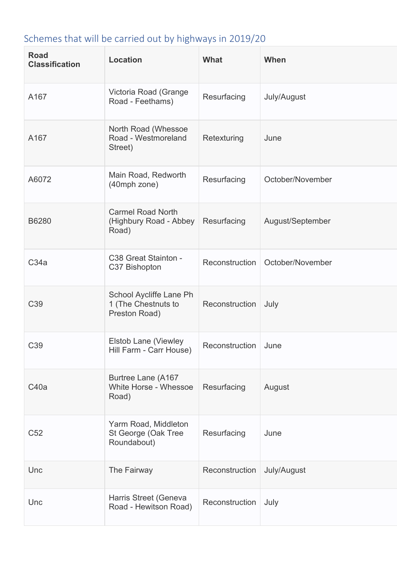## Schemes that will be carried out by highways in 2019/20

| <b>Road</b><br><b>Classification</b> | <b>Location</b>                                                 | What           | When             |
|--------------------------------------|-----------------------------------------------------------------|----------------|------------------|
| A167                                 | Victoria Road (Grange<br>Road - Feethams)                       | Resurfacing    | July/August      |
| A167                                 | North Road (Whessoe<br>Road - Westmoreland<br>Street)           | Retexturing    | June             |
| A6072                                | Main Road, Redworth<br>(40mph zone)                             | Resurfacing    | October/November |
| B6280                                | <b>Carmel Road North</b><br>(Highbury Road - Abbey<br>Road)     | Resurfacing    | August/September |
| C34a                                 | C38 Great Stainton -<br>C37 Bishopton                           | Reconstruction | October/November |
| C39                                  | School Aycliffe Lane Ph<br>1 (The Chestnuts to<br>Preston Road) | Reconstruction | July             |
| C <sub>39</sub>                      | <b>Elstob Lane (Viewley</b><br>Hill Farm - Carr House)          | Reconstruction | June             |
| C40a                                 | Burtree Lane (A167<br>White Horse - Whessoe<br>Road)            | Resurfacing    | August           |
| C <sub>52</sub>                      | Yarm Road, Middleton<br>St George (Oak Tree<br>Roundabout)      | Resurfacing    | June             |
| Unc                                  | The Fairway                                                     | Reconstruction | July/August      |
| Unc                                  | Harris Street (Geneva<br>Road - Hewitson Road)                  | Reconstruction | July             |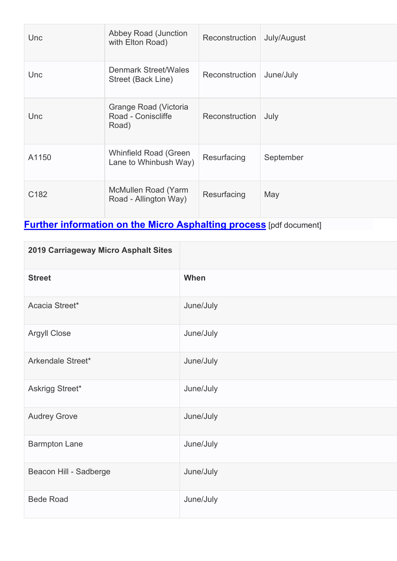| Unc              | <b>Abbey Road (Junction</b><br>with Elton Road)       | Reconstruction | July/August |
|------------------|-------------------------------------------------------|----------------|-------------|
| Unc              | <b>Denmark Street/Wales</b><br>Street (Back Line)     | Reconstruction | June/July   |
| Unc              | Grange Road (Victoria<br>Road - Coniscliffe<br>Road)  | Reconstruction | July        |
| A1150            | <b>Whinfield Road (Green</b><br>Lane to Whinbush Way) | Resurfacing    | September   |
| C <sub>182</sub> | McMullen Road (Yarm<br>Road - Allington Way)          | Resurfacing    | May         |

## **[Further information on the Micro Asphalting process](https://www.darlington.gov.uk/media/2844/doc-6-slurry_surfacing_in_highways_magazine_november_2013.pdf)** [pdf document]

| 2019 Carriageway Micro Asphalt Sites |           |
|--------------------------------------|-----------|
| <b>Street</b>                        | When      |
| Acacia Street*                       | June/July |
| <b>Argyll Close</b>                  | June/July |
| Arkendale Street*                    | June/July |
| Askrigg Street*                      | June/July |
| <b>Audrey Grove</b>                  | June/July |
| <b>Barmpton Lane</b>                 | June/July |
| Beacon Hill - Sadberge               | June/July |
| <b>Bede Road</b>                     | June/July |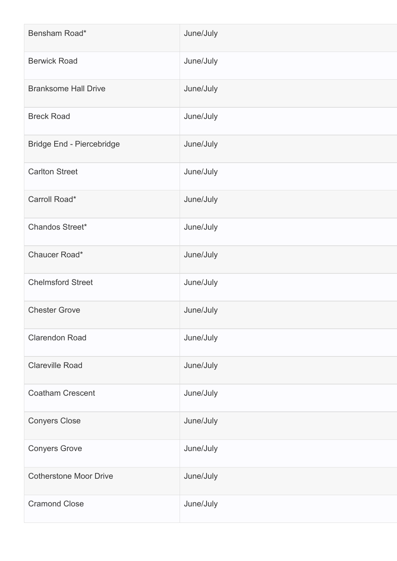| Bensham Road*                    | June/July |
|----------------------------------|-----------|
| <b>Berwick Road</b>              | June/July |
| <b>Branksome Hall Drive</b>      | June/July |
| <b>Breck Road</b>                | June/July |
| <b>Bridge End - Piercebridge</b> | June/July |
| <b>Carlton Street</b>            | June/July |
| Carroll Road*                    | June/July |
| Chandos Street*                  | June/July |
| Chaucer Road*                    | June/July |
| <b>Chelmsford Street</b>         | June/July |
| <b>Chester Grove</b>             | June/July |
| <b>Clarendon Road</b>            | June/July |
| <b>Clareville Road</b>           | June/July |
| <b>Coatham Crescent</b>          | June/July |
| <b>Conyers Close</b>             | June/July |
| <b>Conyers Grove</b>             | June/July |
| <b>Cotherstone Moor Drive</b>    | June/July |
| <b>Cramond Close</b>             | June/July |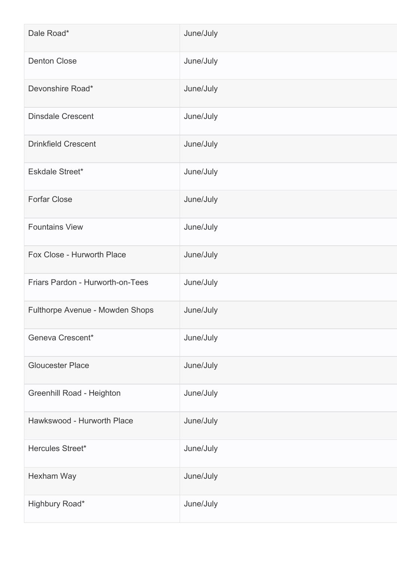| Dale Road*                       | June/July |
|----------------------------------|-----------|
| <b>Denton Close</b>              | June/July |
| Devonshire Road*                 | June/July |
| <b>Dinsdale Crescent</b>         | June/July |
| <b>Drinkfield Crescent</b>       | June/July |
| Eskdale Street*                  | June/July |
| <b>Forfar Close</b>              | June/July |
| <b>Fountains View</b>            | June/July |
| Fox Close - Hurworth Place       | June/July |
| Friars Pardon - Hurworth-on-Tees | June/July |
| Fulthorpe Avenue - Mowden Shops  | June/July |
| Geneva Crescent*                 | June/July |
| <b>Gloucester Place</b>          | June/July |
| <b>Greenhill Road - Heighton</b> | June/July |
| Hawkswood - Hurworth Place       | June/July |
| Hercules Street*                 | June/July |
| Hexham Way                       | June/July |
| Highbury Road*                   | June/July |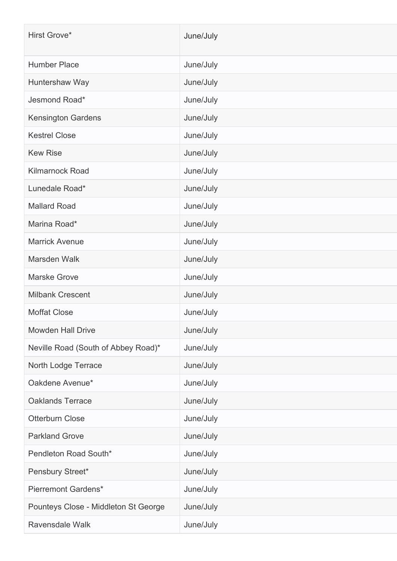| Hirst Grove*                         | June/July |
|--------------------------------------|-----------|
| <b>Humber Place</b>                  | June/July |
| Huntershaw Way                       | June/July |
| Jesmond Road*                        | June/July |
| <b>Kensington Gardens</b>            | June/July |
| <b>Kestrel Close</b>                 | June/July |
| <b>Kew Rise</b>                      | June/July |
| <b>Kilmarnock Road</b>               | June/July |
| Lunedale Road*                       | June/July |
| <b>Mallard Road</b>                  | June/July |
| Marina Road*                         | June/July |
| <b>Marrick Avenue</b>                | June/July |
| Marsden Walk                         | June/July |
| <b>Marske Grove</b>                  | June/July |
| <b>Milbank Crescent</b>              | June/July |
| <b>Moffat Close</b>                  | June/July |
| <b>Mowden Hall Drive</b>             | June/July |
| Neville Road (South of Abbey Road)*  | June/July |
| North Lodge Terrace                  | June/July |
| Oakdene Avenue*                      | June/July |
| <b>Oaklands Terrace</b>              | June/July |
| <b>Otterburn Close</b>               | June/July |
| <b>Parkland Grove</b>                | June/July |
| Pendleton Road South*                | June/July |
| Pensbury Street*                     | June/July |
| <b>Pierremont Gardens*</b>           | June/July |
| Pounteys Close - Middleton St George | June/July |
| Ravensdale Walk                      | June/July |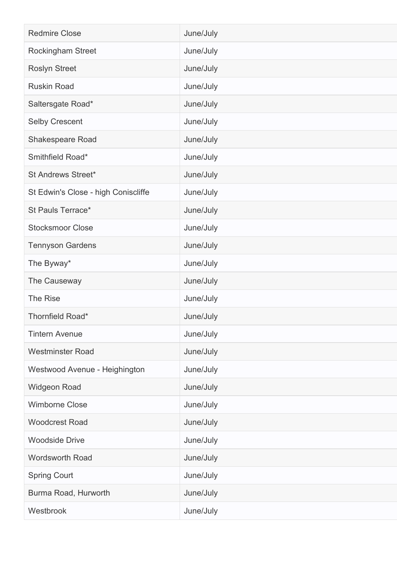| <b>Redmire Close</b>                | June/July |
|-------------------------------------|-----------|
| Rockingham Street                   | June/July |
| <b>Roslyn Street</b>                | June/July |
| <b>Ruskin Road</b>                  | June/July |
| Saltersgate Road*                   | June/July |
| <b>Selby Crescent</b>               | June/July |
| <b>Shakespeare Road</b>             | June/July |
| Smithfield Road*                    | June/July |
| <b>St Andrews Street*</b>           | June/July |
| St Edwin's Close - high Coniscliffe | June/July |
| St Pauls Terrace*                   | June/July |
| <b>Stocksmoor Close</b>             | June/July |
| <b>Tennyson Gardens</b>             | June/July |
| The Byway*                          | June/July |
| The Causeway                        | June/July |
| <b>The Rise</b>                     | June/July |
| Thornfield Road*                    | June/July |
| <b>Tintern Avenue</b>               | June/July |
| <b>Westminster Road</b>             | June/July |
| Westwood Avenue - Heighington       | June/July |
| <b>Widgeon Road</b>                 | June/July |
| <b>Wimborne Close</b>               | June/July |
| <b>Woodcrest Road</b>               | June/July |
| <b>Woodside Drive</b>               | June/July |
| <b>Wordsworth Road</b>              | June/July |
| <b>Spring Court</b>                 | June/July |
| Burma Road, Hurworth                | June/July |
| Westbrook                           | June/July |